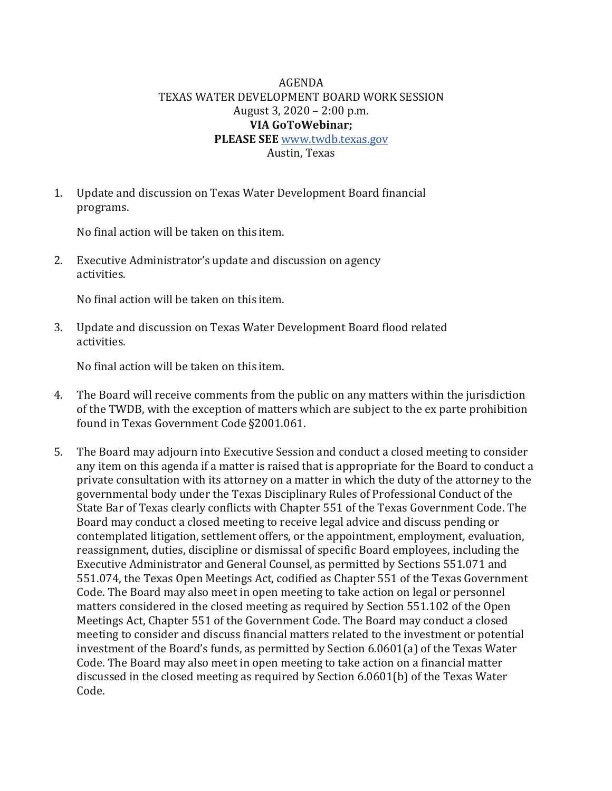## AGENDA TEXAS WATER DEVELOPMENT BOARD WORK SESSION August 3, 2020 – 2:00 p.m. **VIA GoToWebinar; PLEASE SEE** [www.twdb.texas.gov](http://www.twdb.texas.gov/)

Austin, Texas

1. Update and discussion on Texas Water Development Board financial programs.

No final action will be taken on this item.

2. Executive Administrator's update and discussion on agency activities.

No final action will be taken on this item.

3. Update and discussion on Texas Water Development Board flood related activities.

No final action will be taken on this item.

- 4. The Board will receive comments from the public on any matters within the jurisdiction of the TWDB, with the exception of matters which are subject to the ex parte prohibition found in Texas Government Code §2001.061.
- 5. The Board may adjourn into Executive Session and conduct a closed meeting to consider any item on this agenda if a matter is raised that is appropriate for the Board to conduct a private consultation with its attorney on a matter in which the duty of the attorney to the governmental body under the Texas Disciplinary Rules of Professional Conduct of the State Bar of Texas clearly conflicts with Chapter 551 of the Texas Government Code. The Board may conduct a closed meeting to receive legal advice and discuss pending or contemplated litigation, settlement offers, or the appointment, employment, evaluation, reassignment, duties, discipline or dismissal of specific Board employees, including the Executive Administrator and General Counsel, as permitted by Sections 551.071 and 551.074, the Texas Open Meetings Act, codified as Chapter 551 of the Texas Government Code. The Board may also meet in open meeting to take action on legal or personnel matters considered in the closed meeting as required by Section 551.102 of the Open Meetings Act, Chapter 551 of the Government Code. The Board may conduct a closed meeting to consider and discuss financial matters related to the investment or potential investment of the Board's funds, as permitted by Section 6.0601(a) of the Texas Water Code. The Board may also meet in open meeting to take action on a financial matter discussed in the closed meeting as required by Section 6.0601(b) of the Texas Water Code.